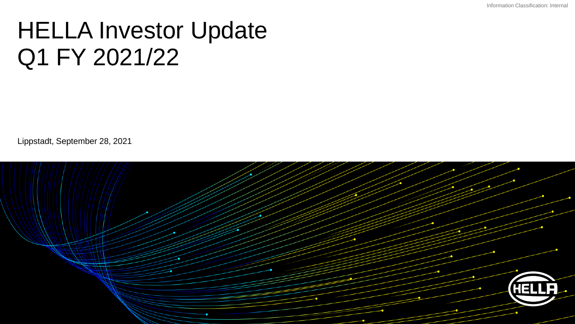# HELLA Investor Update Q1 FY 2021/22

Lippstadt, September 28, 2021

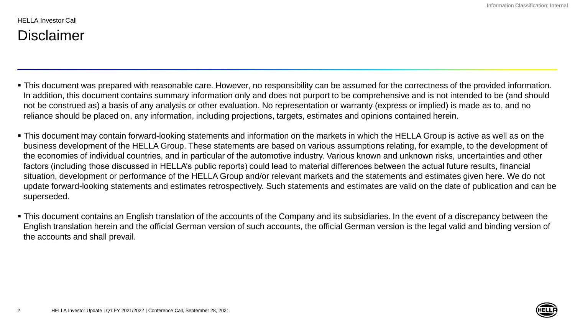#### HELLA Investor Call

## Disclaimer

- This document was prepared with reasonable care. However, no responsibility can be assumed for the correctness of the provided information. In addition, this document contains summary information only and does not purport to be comprehensive and is not intended to be (and should not be construed as) a basis of any analysis or other evaluation. No representation or warranty (express or implied) is made as to, and no reliance should be placed on, any information, including projections, targets, estimates and opinions contained herein.
- This document may contain forward-looking statements and information on the markets in which the HELLA Group is active as well as on the business development of the HELLA Group. These statements are based on various assumptions relating, for example, to the development of the economies of individual countries, and in particular of the automotive industry. Various known and unknown risks, uncertainties and other factors (including those discussed in HELLA's public reports) could lead to material differences between the actual future results, financial situation, development or performance of the HELLA Group and/or relevant markets and the statements and estimates given here. We do not update forward-looking statements and estimates retrospectively. Such statements and estimates are valid on the date of publication and can be superseded.
- This document contains an English translation of the accounts of the Company and its subsidiaries. In the event of a discrepancy between the English translation herein and the official German version of such accounts, the official German version is the legal valid and binding version of the accounts and shall prevail.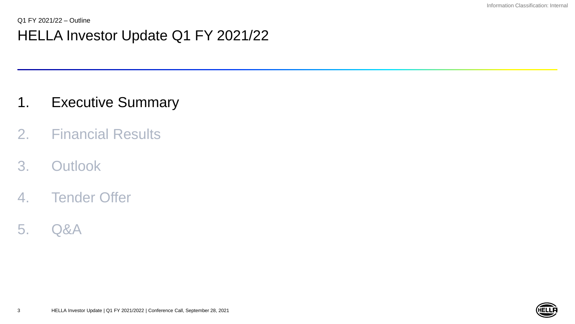- 1. Executive Summary
- 2. Financial Results
- 3. Outlook
- 4. Tender Offer
- 5. Q&A

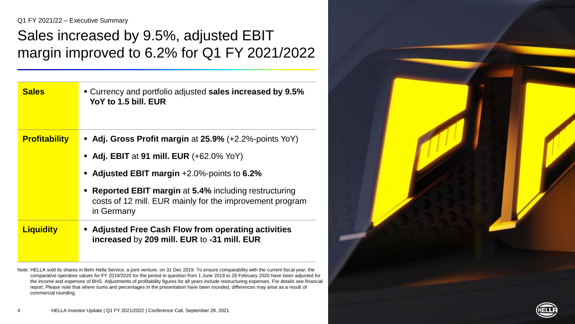Q1 FY 2021/22 – Executive Summary

## Sales increased by 9.5%, adjusted EBIT margin improved to 6.2% for Q1 FY 2021/2022

| <b>Sales</b>         | • Currency and portfolio adjusted sales increased by 9.5%<br>YoY to 1.5 bill. EUR                                                     |
|----------------------|---------------------------------------------------------------------------------------------------------------------------------------|
| <b>Profitability</b> | • Adj. Gross Profit margin at 25.9% $(+2.2\%$ -points YoY)                                                                            |
|                      | • Adj. EBIT at 91 mill. EUR $(+62.0\%$ YoY)                                                                                           |
|                      | <b>Adjusted EBIT margin +2.0%-points to 6.2%</b>                                                                                      |
|                      | <b>Reported EBIT margin at 5.4% including restructuring</b><br>costs of 12 mill. EUR mainly for the improvement program<br>in Germany |
| <b>Liquidity</b>     | • Adjusted Free Cash Flow from operating activities<br>increased by 209 mill. EUR to -31 mill. EUR                                    |

Note: HELLA sold its shares in Behr Hella Service, a joint venture, on 31 Dec 2019. To ensure comparability with the current fiscal year, the comparative operative values for FY 2019/2020 for the period in question from 1 June 2019 to 28 February 2020 have been adjusted for the income and expenses of BHS. Adjustments of profitability figures for all years include restructuring expenses. For details see financial report. Please note that where sums and percentages in the presentation have been rounded, differences may arise as a result of commercial rounding.



4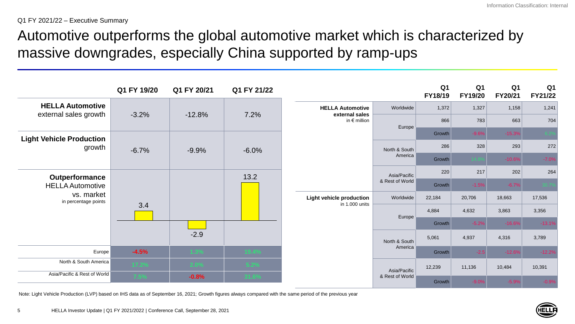Q1 FY 2021/22 – Executive Summary

Automotive outperforms the global automotive market which is characterized by massive downgrades, especially China supported by ramp-ups

|                                                               | Q1 FY 19/20   | Q1 FY 20/21                 | Q1 FY 21/22                             |                                 |                          | Q <sub>1</sub><br>FY18/19 | Q <sub>1</sub><br>FY19/20 | Q <sub>1</sub><br>FY20/21 | Q <sub>1</sub><br>FY21/22 |     |     |
|---------------------------------------------------------------|---------------|-----------------------------|-----------------------------------------|---------------------------------|--------------------------|---------------------------|---------------------------|---------------------------|---------------------------|-----|-----|
| <b>HELLA Automotive</b>                                       |               |                             |                                         | <b>HELLA Automotive</b>         | Worldwide                | 1,372                     | 1,327                     | 1,158                     | 1,241                     |     |     |
| external sales growth                                         |               | 7.2%<br>$-3.2%$<br>$-12.8%$ | external sales<br>in $\epsilon$ million | Europe                          | 866                      | 783                       | 663                       | 704                       |                           |     |     |
| <b>Light Vehicle Production</b>                               |               |                             |                                         |                                 |                          | Growth                    | $-9.6%$                   | $-15.3%$                  |                           |     |     |
| growth                                                        | $-6.7%$       | $-9.9%$                     | $-6.0%$                                 |                                 | North & South<br>America | 286                       | 328                       | 293                       | 272                       |     |     |
|                                                               |               |                             |                                         |                                 |                          | Growth                    |                           | $-10.6%$                  | $-7.0%$                   |     |     |
| Outperformance                                                |               |                             | 13.2                                    |                                 |                          |                           | Asia/Pacific              | 220                       | 217                       | 202 | 264 |
| <b>HELLA Automotive</b><br>vs. market<br>in percentage points | 3.4<br>$-2.9$ |                             |                                         |                                 | & Rest of World          | Growth                    | $-1.5%$                   | $-6.7%$                   |                           |     |     |
|                                                               |               |                             |                                         | <b>Light vehicle production</b> | Worldwide                | 22,184                    | 20,706                    | 18,663                    | 17,536                    |     |     |
|                                                               |               |                             |                                         | in 1.000 units                  | Europe                   | 4,884                     | 4,632                     | 3,863                     | 3,356                     |     |     |
|                                                               |               |                             |                                         |                                 |                          | Growth                    | $-5.2%$                   | $-16.6%$                  | $-13.1%$                  |     |     |
|                                                               |               |                             |                                         | North & South                   | 5,061                    | 4,937                     | 4,316                     | 3,789                     |                           |     |     |
| Europe                                                        | $-4.5%$       | 1.3%                        | 19.4%                                   |                                 | America                  | Growth                    | $-2.5$                    | $-12.6%$                  | $-12.2%$                  |     |     |
| North & South America                                         | 17.2%         | $2.0\%$                     | 5.2%                                    |                                 | Asia/Pacific             | 12,239                    | 11,136                    | 10,484                    | 10,391                    |     |     |
| Asia/Pacific & Rest of World                                  | 7.5%          | $-0.8%$                     | 31.6%                                   |                                 | & Rest of World          | Growth                    | $-9.0%$                   | $-5.9%$                   | $-0.9%$                   |     |     |

Note: Light Vehicle Production (LVP) based on IHS data as of September 16, 2021; Growth figures always compared with the same period of the previous year

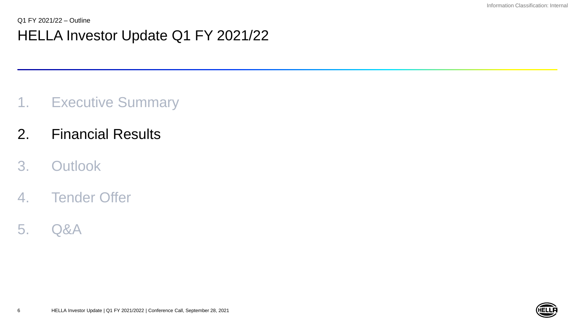- 1. Executive Summary
- 2. Financial Results
- 3. Outlook
- 4. Tender Offer
- 5. Q&A

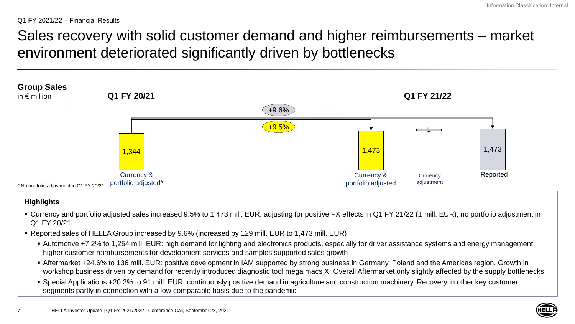Sales recovery with solid customer demand and higher reimbursements – market environment deteriorated significantly driven by bottlenecks



#### **Highlights**

7

- Currency and portfolio adjusted sales increased 9.5% to 1,473 mill. EUR, adjusting for positive FX effects in Q1 FY 21/22 (1 mill. EUR), no portfolio adjustment in Q1 FY 20/21
- Reported sales of HELLA Group increased by 9.6% (increased by 129 mill. EUR to 1,473 mill. EUR)
	- Automotive +7.2% to 1,254 mill. EUR: high demand for lighting and electronics products, especially for driver assistance systems and energy management; higher customer reimbursements for development services and samples supported sales growth
	- Aftermarket +24.6% to 136 mill. EUR: positive development in IAM supported by strong business in Germany, Poland and the Americas region. Growth in workshop business driven by demand for recently introduced diagnostic tool mega macs X. Overall Aftermarket only slightly affected by the supply bottlenecks
	- Special Applications +20.2% to 91 mill. EUR: continuously positive demand in agriculture and construction machinery. Recovery in other key customer segments partly in connection with a low comparable basis due to the pandemic

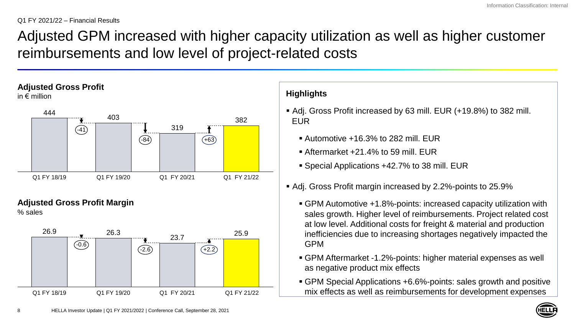## Adjusted GPM increased with higher capacity utilization as well as higher customer reimbursements and low level of project-related costs

### **Adjusted Gross Profit**

in € million



### **Adjusted Gross Profit Margin**

% sales

8



- Adj. Gross Profit increased by 63 mill. EUR (+19.8%) to 382 mill. EUR
	- $\blacksquare$  Automotive +16.3% to 282 mill. EUR
	- Aftermarket +21.4% to 59 mill. EUR
	- Special Applications +42.7% to 38 mill. EUR
- Adj. Gross Profit margin increased by 2.2%-points to 25.9%
	- GPM Automotive +1.8%-points: increased capacity utilization with sales growth. Higher level of reimbursements. Project related cost at low level. Additional costs for freight & material and production inefficiencies due to increasing shortages negatively impacted the GPM
	- GPM Aftermarket -1.2%-points: higher material expenses as well as negative product mix effects
	- GPM Special Applications +6.6%-points: sales growth and positive mix effects as well as reimbursements for development expenses

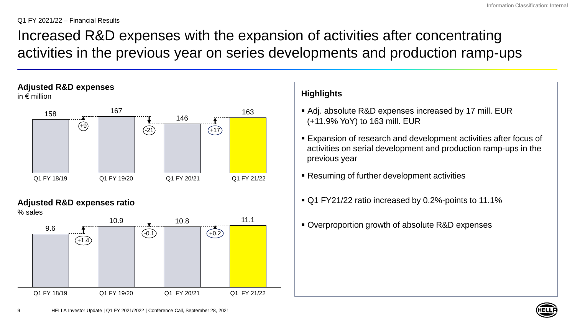Increased R&D expenses with the expansion of activities after concentrating activities in the previous year on series developments and production ramp-ups

### **Adjusted R&D expenses**

in € million



#### **Adjusted R&D expenses ratio**

% sales 9.6 10.9 (a) 10.8 11.1 Q1 FY 18/19 Q1 FY 19/20 Q1 FY 20/21 Q1 FY 21/22  $(+0.2)$  $(+1.4)$  $( -0.1)$ 

- Adj. absolute R&D expenses increased by 17 mill. EUR (+11.9% YoY) to 163 mill. EUR
- Expansion of research and development activities after focus of activities on serial development and production ramp-ups in the previous year
- Resuming of further development activities
- Q1 FY21/22 ratio increased by 0.2%-points to 11.1%
- Overproportion growth of absolute R&D expenses



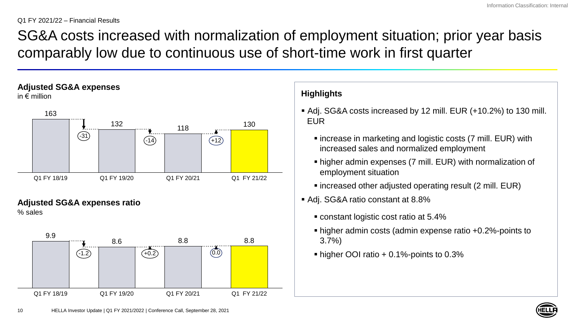SG&A costs increased with normalization of employment situation; prior year basis comparably low due to continuous use of short-time work in first quarter

### **Adjusted SG&A expenses**

in € million



## **Adjusted SG&A expenses ratio**

% sales



- Adj. SG&A costs increased by 12 mill. EUR (+10.2%) to 130 mill. EUR
	- **Example 2** increase in marketing and logistic costs (7 mill. EUR) with increased sales and normalized employment
	- higher admin expenses (7 mill. EUR) with normalization of employment situation
	- increased other adjusted operating result (2 mill. EUR)
- Adj. SG&A ratio constant at 8.8%
	- constant logistic cost ratio at 5.4%
	- higher admin costs (admin expense ratio +0.2%-points to 3.7%)
	- $\blacksquare$  higher OOI ratio  $+$  0.1%-points to 0.3%

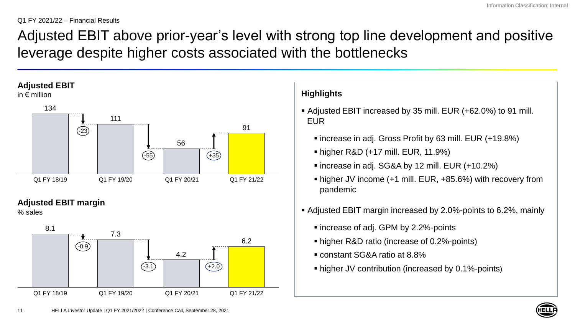Adjusted EBIT above prior-year's level with strong top line development and positive leverage despite higher costs associated with the bottlenecks



**Adjusted EBIT margin**

% sales



- Adjusted EBIT increased by 35 mill. EUR (+62.0%) to 91 mill. EUR
	- increase in adj. Gross Profit by 63 mill. EUR (+19.8%)
	- $\blacksquare$  higher R&D (+17 mill. EUR, 11.9%)
	- increase in adj. SG&A by 12 mill. EUR (+10.2%)
	- **.** higher JV income (+1 mill. EUR, +85.6%) with recovery from pandemic
- Adjusted EBIT margin increased by 2.0%-points to 6.2%, mainly
	- increase of adj. GPM by 2.2%-points
	- higher R&D ratio (increase of 0.2%-points)
	- constant SG&A ratio at 8.8%
	- higher JV contribution (increased by 0.1%-points)

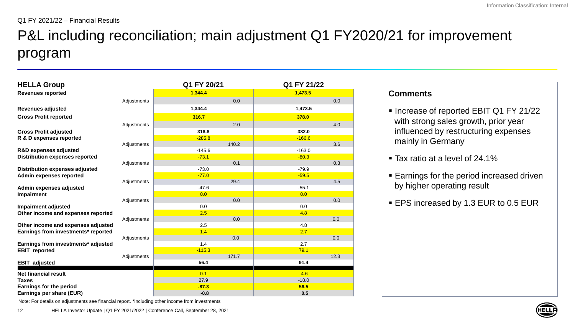## P&L including reconciliation; main adjustment Q1 FY2020/21 for improvement program

| <b>HELLA Group</b>                                          |             | Q1 FY 20/21 |       | Q1 FY 21/22 |      |
|-------------------------------------------------------------|-------------|-------------|-------|-------------|------|
| <b>Revenues reported</b>                                    |             | 1,344.4     |       | 1,473.5     |      |
|                                                             | Adjustments |             | 0.0   |             | 0.0  |
| <b>Revenues adjusted</b>                                    |             | 1,344.4     |       | 1,473.5     |      |
| <b>Gross Profit reported</b>                                |             | 316.7       |       | 378.0       |      |
|                                                             | Adjustments |             | 2.0   |             | 4.0  |
| <b>Gross Profit adjusted</b>                                |             | 318.8       |       | 382.0       |      |
| R & D expenses reported                                     |             | $-285.8$    |       | $-166.6$    |      |
|                                                             | Adjustments |             | 140.2 |             | 3.6  |
| R&D expenses adjusted                                       |             | $-145.6$    |       | $-163.0$    |      |
| <b>Distribution expenses reported</b>                       |             | $-73.1$     |       | $-80.3$     |      |
|                                                             | Adjustments |             | 0.1   |             | 0.3  |
| <b>Distribution expenses adjusted</b>                       |             | $-73.0$     |       | $-79.9$     |      |
| Admin expenses reported                                     |             | $-77.0$     | 29.4  | $-59.5$     | 4.5  |
| Admin expenses adjusted                                     | Adjustments | $-47.6$     |       | $-55.1$     |      |
| Impairment                                                  |             | 0.0         |       | 0.0         |      |
|                                                             | Adjustments |             | 0.0   |             | 0.0  |
| <b>Impairment adjusted</b>                                  |             | 0.0         |       | 0.0         |      |
| Other income and expenses reported                          |             | 2.5         |       | 4.8         |      |
|                                                             | Adjustments |             | 0.0   |             | 0.0  |
| Other income and expenses adjusted                          |             | 2.5         |       | 4.8         |      |
| Earnings from investments* reported                         |             | 1.4         |       | 2.7         |      |
|                                                             | Adjustments | 1.4         | 0.0   | 2.7         | 0.0  |
| Earnings from investments* adjusted<br><b>EBIT</b> reported |             | $-115.3$    |       | 79.1        |      |
|                                                             | Adjustments |             | 171.7 |             | 12.3 |
| <b>EBIT adjusted</b>                                        |             | 56.4        |       | 91.4        |      |
|                                                             |             |             |       |             |      |
| <b>Net financial result</b>                                 |             | 0.1         |       | $-4.6$      |      |
| <b>Taxes</b>                                                |             | 27.9        |       | $-18.0$     |      |
| Earnings for the period                                     |             | $-87.3$     |       | 56.5        |      |
| Earnings per share (EUR)                                    |             | $-0.8$      |       | 0.5         |      |

#### **Comments**

- Increase of reported EBIT Q1 FY 21/22 with strong sales growth, prior year influenced by restructuring expenses mainly in Germany
- Tax ratio at a level of 24.1%
- **Earnings for the period increased driven** by higher operating result
- EPS increased by 1.3 EUR to 0.5 EUR

Note: For details on adjustments see financial report. \*including other income from investments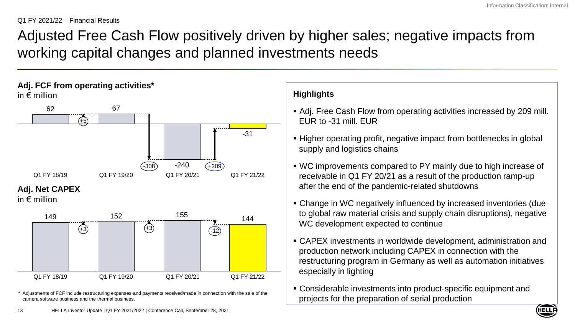## Adjusted Free Cash Flow positively driven by higher sales; negative impacts from working capital changes and planned investments needs

### **Adj. FCF from operating activities\*** in € million **Adj. Net CAPEX** 62 67 -240 -31 Q1 FY 18/19 Q1 FY 19/20 Q1 FY 20/21 Q1 FY 21/22 +209  $(15)$  $-308$

### in  $\epsilon$  million



\* Adjustments of FCF include restructuring expenses and payments received/made in connection with the sale of the camera software business and the thermal business.

- Adj. Free Cash Flow from operating activities increased by 209 mill. EUR to -31 mill. EUR
- Higher operating profit, negative impact from bottlenecks in global supply and logistics chains
- WC improvements compared to PY mainly due to high increase of receivable in Q1 FY 20/21 as a result of the production ramp-up after the end of the pandemic-related shutdowns
- Change in WC negatively influenced by increased inventories (due to global raw material crisis and supply chain disruptions), negative WC development expected to continue
- CAPEX investments in worldwide development, administration and production network including CAPEX in connection with the restructuring program in Germany as well as automation initiatives especially in lighting
- Considerable investments into product-specific equipment and projects for the preparation of serial production

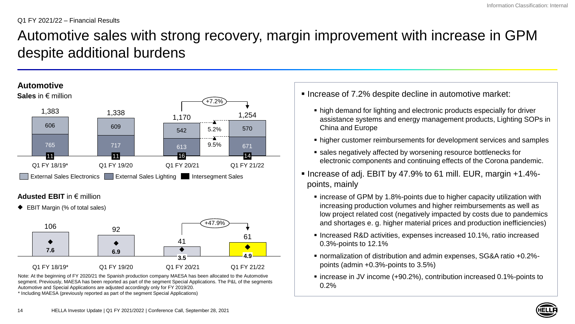## Automotive sales with strong recovery, margin improvement with increase in GPM despite additional burdens



### **Adusted EBIT** in € million

◆ EBIT Margin (% of total sales)



Note: At the beginning of FY 2020/21 the Spanish production company MAESA has been allocated to the Automotive segment. Previously, MAESA has been reported as part of the segment Special Applications. The P&L of the segments Automotive and Special Applications are adjusted accordingly only for FY 2019/20.

\* Including MAESA (previously reported as part of the segment Special Applications)

- Increase of 7.2% despite decline in automotive market:
	- high demand for lighting and electronic products especially for driver assistance systems and energy management products, Lighting SOPs in China and Europe
	- **.** higher customer reimbursements for development services and samples
	- sales negatively affected by worsening resource bottlenecks for electronic components and continuing effects of the Corona pandemic.
- Increase of adj. EBIT by 47.9% to 61 mill. EUR, margin +1.4% points, mainly
	- increase of GPM by 1.8%-points due to higher capacity utilization with increasing production volumes and higher reimbursements as well as low project related cost (negatively impacted by costs due to pandemics and shortages e. g. higher material prices and production inefficiencies)
	- Increased R&D activities, expenses increased 10.1%, ratio increased 0.3%-points to 12.1%
	- normalization of distribution and admin expenses, SG&A ratio +0.2% points (admin +0.3%-points to 3.5%)
	- increase in JV income (+90.2%), contribution increased 0.1%-points to 0.2%

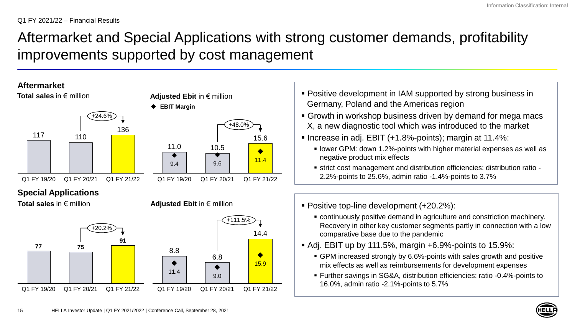## Aftermarket and Special Applications with strong customer demands, profitability improvements supported by cost management



- Positive development in IAM supported by strong business in Germany, Poland and the Americas region
- Growth in workshop business driven by demand for mega macs X, a new diagnostic tool which was introduced to the market
- Increase in adj. EBIT (+1.8%-points); margin at 11.4%:
	- lower GPM: down 1.2%-points with higher material expenses as well as negative product mix effects
	- strict cost management and distribution efficiencies: distribution ratio 2.2%-points to 25.6%, admin ratio -1.4%-points to 3.7%
- Positive top-line development (+20.2%):
	- continuously positive demand in agriculture and constriction machinery. Recovery in other key customer segments partly in connection with a low comparative base due to the pandemic
- $\blacksquare$  Adj. EBIT up by 111.5%, margin  $+6.9\%$ -points to 15.9%:
	- GPM increased strongly by 6.6%-points with sales growth and positive mix effects as well as reimbursements for development expenses
	- Further savings in SG&A, distribution efficiencies: ratio -0.4%-points to 16.0%, admin ratio -2.1%-points to 5.7%

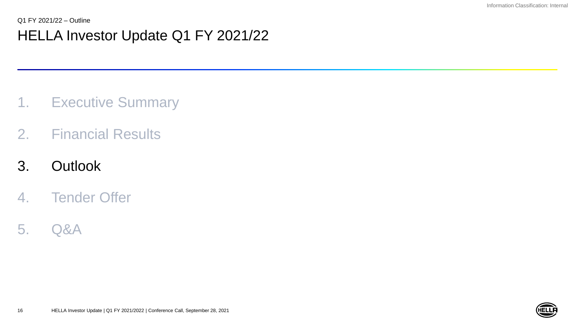- 1. Executive Summary
- 2. Financial Results
- 3. Outlook
- 4. Tender Offer
- 5. Q&A

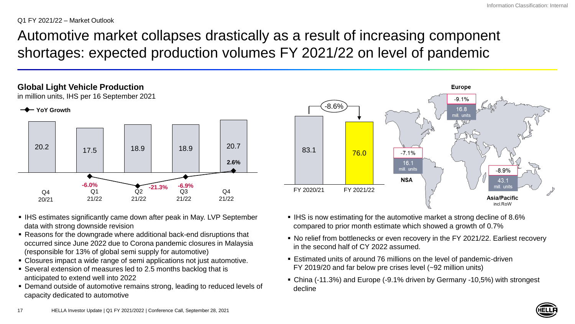#### Q1 FY 2021/22 – Market Outlook

## Automotive market collapses drastically as a result of increasing component shortages: expected production volumes FY 2021/22 on level of pandemic

#### **Global Light Vehicle Production**

in million units, IHS per 16 September 2021



- **. IHS estimates significantly came down after peak in May. LVP September** data with strong downside revision
- Reasons for the downgrade where additional back-end disruptions that occurred since June 2022 due to Corona pandemic closures in Malaysia (responsible for 13% of global semi supply for automotive)
- Closures impact a wide range of semi applications not just automotive.
- Several extension of measures led to 2.5 months backlog that is anticipated to extend well into 2022
- Demand outside of automotive remains strong, leading to reduced levels of capacity dedicated to automotive



- IHS is now estimating for the automotive market a strong decline of 8.6% compared to prior month estimate which showed a growth of 0.7%
- No relief from bottlenecks or even recovery in the FY 2021/22. Earliest recovery in the second half of CY 2022 assumed.
- Estimated units of around 76 millions on the level of pandemic-driven FY 2019/20 and far below pre crises level (~92 million units)
- China (-11.3%) and Europe (-9.1% driven by Germany -10,5%) with strongest decline

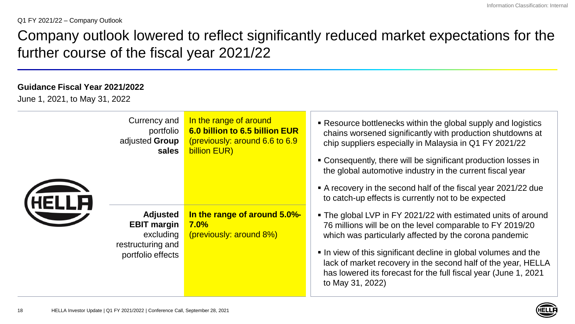Q1 FY 2021/22 – Company Outlook

Company outlook lowered to reflect significantly reduced market expectations for the further course of the fiscal year 2021/22

#### **Guidance Fiscal Year 2021/2022**

June 1, 2021, to May 31, 2022

| HELLA | Currency and<br>portfolio<br>adjusted Group<br>sales                                         | In the range of around<br>6.0 billion to 6.5 billion EUR<br>(previously: around 6.6 to 6.9<br>billion EUR) | • Resource bottlenecks within the global supply and logistics<br>chains worsened significantly with production shutdowns at<br>chip suppliers especially in Malaysia in Q1 FY 2021/22<br>• Consequently, there will be significant production losses in<br>the global automotive industry in the current fiscal year<br>A recovery in the second half of the fiscal year 2021/22 due<br>to catch-up effects is currently not to be expected |  |  |
|-------|----------------------------------------------------------------------------------------------|------------------------------------------------------------------------------------------------------------|---------------------------------------------------------------------------------------------------------------------------------------------------------------------------------------------------------------------------------------------------------------------------------------------------------------------------------------------------------------------------------------------------------------------------------------------|--|--|
|       | <b>Adjusted</b><br><b>EBIT margin</b><br>excluding<br>restructuring and<br>portfolio effects | In the range of around 5.0%-<br>7.0%<br>(previously: around 8%)                                            | • The global LVP in FY 2021/22 with estimated units of around<br>76 millions will be on the level comparable to FY 2019/20<br>which was particularly affected by the corona pandemic<br>In view of this significant decline in global volumes and the<br>lack of market recovery in the second half of the year, HELLA<br>has lowered its forecast for the full fiscal year (June 1, 2021)<br>to May 31, 2022)                              |  |  |

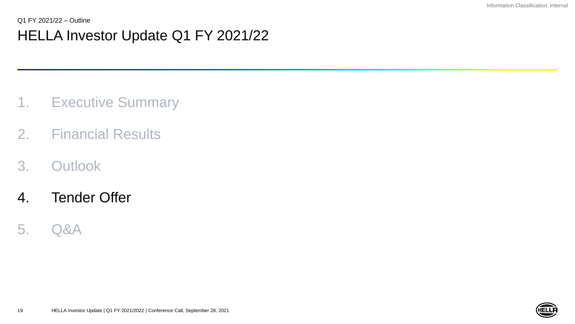- 1. Executive Summary
- 2. Financial Results
- 3. Outlook
- 4. Tender Offer
- 5. Q&A

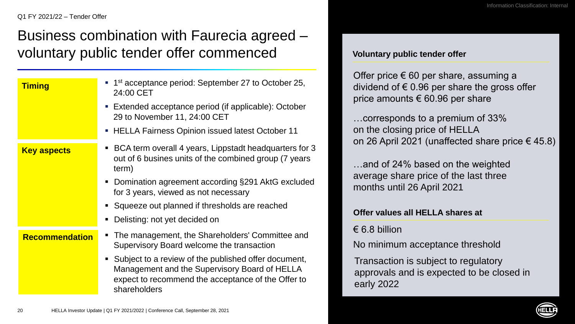Q1 FY 2021/22 – Tender Offer

## Business combination with Faurecia agreed – voluntary public tender offer commenced

| <b>Timing</b>         | 1 <sup>st</sup> acceptance period: September 27 to October 25,<br>24:00 CET<br>Extended acceptance period (if applicable): October<br>29 to November 11, 24:00 CET<br>• HELLA Fairness Opinion issued latest October 11                                                                                 |
|-----------------------|---------------------------------------------------------------------------------------------------------------------------------------------------------------------------------------------------------------------------------------------------------------------------------------------------------|
| <b>Key aspects</b>    | BCA term overall 4 years, Lippstadt headquarters for 3<br>out of 6 busines units of the combined group (7 years<br>term)<br>Domination agreement according §291 AktG excluded<br>for 3 years, viewed as not necessary<br>Squeeze out planned if thresholds are reached<br>Delisting: not yet decided on |
| <b>Recommendation</b> | The management, the Shareholders' Committee and<br>Supervisory Board welcome the transaction<br>Subject to a review of the published offer document,<br>Management and the Supervisory Board of HELLA<br>expect to recommend the acceptance of the Offer to<br>shareholders                             |

### **Voluntary public tender offer**

Offer price  $\epsilon$  60 per share, assuming a dividend of  $\epsilon$  0.96 per share the gross offer price amounts  $\epsilon$  60.96 per share

…corresponds to a premium of 33% on the closing price of HELLA on 26 April 2021 (unaffected share price € 45.8)

…and of 24% based on the weighted average share price of the last three months until 26 April 2021

### **Offer values all HELLA shares at**

### $\epsilon$  6.8 billion

No minimum acceptance threshold

Transaction is subject to regulatory approvals and is expected to be closed in early 2022

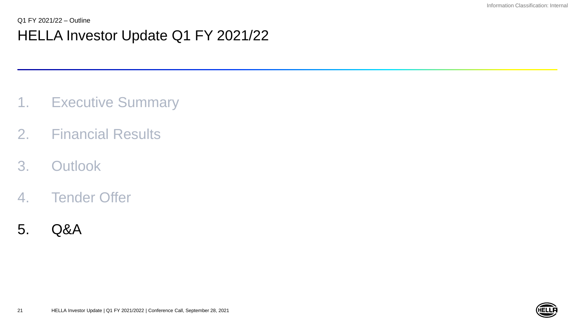- 1. Executive Summary
- 2. Financial Results
- 3. Outlook
- 4. Tender Offer
- 5. Q&A